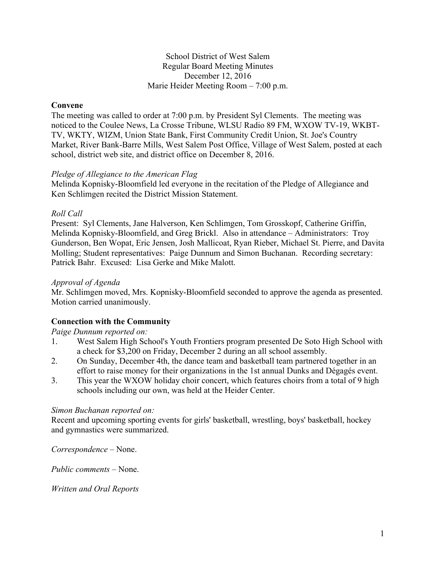#### School District of West Salem Regular Board Meeting Minutes December 12, 2016 Marie Heider Meeting Room – 7:00 p.m.

### **Convene**

The meeting was called to order at 7:00 p.m. by President Syl Clements. The meeting was noticed to the Coulee News, La Crosse Tribune, WLSU Radio 89 FM, WXOW TV-19, WKBT-TV, WKTY, WIZM, Union State Bank, First Community Credit Union, St. Joe's Country Market, River Bank-Barre Mills, West Salem Post Office, Village of West Salem, posted at each school, district web site, and district office on December 8, 2016.

#### *Pledge of Allegiance to the American Flag*

Melinda Kopnisky-Bloomfield led everyone in the recitation of the Pledge of Allegiance and Ken Schlimgen recited the District Mission Statement.

### *Roll Call*

Present: Syl Clements, Jane Halverson, Ken Schlimgen, Tom Grosskopf, Catherine Griffin, Melinda Kopnisky-Bloomfield, and Greg Brickl. Also in attendance – Administrators: Troy Gunderson, Ben Wopat, Eric Jensen, Josh Mallicoat, Ryan Rieber, Michael St. Pierre, and Davita Molling; Student representatives: Paige Dunnum and Simon Buchanan. Recording secretary: Patrick Bahr. Excused: Lisa Gerke and Mike Malott.

#### *Approval of Agenda*

Mr. Schlimgen moved, Mrs. Kopnisky-Bloomfield seconded to approve the agenda as presented. Motion carried unanimously.

### **Connection with the Community**

#### *Paige Dunnum reported on:*

- 1. West Salem High School's Youth Frontiers program presented De Soto High School with a check for \$3,200 on Friday, December 2 during an all school assembly.
- 2. On Sunday, December 4th, the dance team and basketball team partnered together in an effort to raise money for their organizations in the 1st annual Dunks and Dégagés event.
- 3. This year the WXOW holiday choir concert, which features choirs from a total of 9 high schools including our own, was held at the Heider Center.

#### *Simon Buchanan reported on:*

Recent and upcoming sporting events for girls' basketball, wrestling, boys' basketball, hockey and gymnastics were summarized.

*Correspondence* – None.

*Public comments –* None.

*Written and Oral Reports*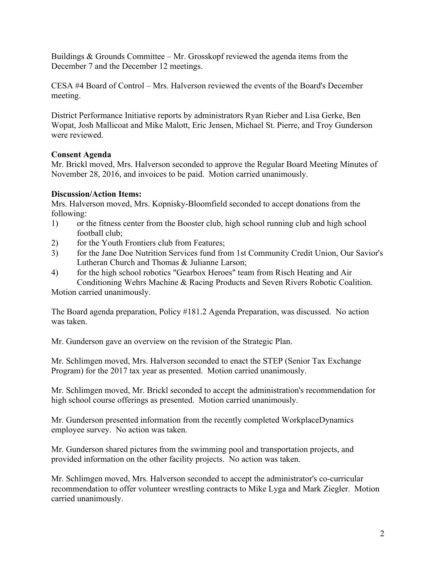Buildings & Grounds Committee – Mr. Grosskopf reviewed the agenda items from the December 7 and the December 12 meetings.

CESA #4 Board of Control – Mrs. Halverson reviewed the events of the Board's December meeting.

District Performance Initiative reports by administrators Ryan Rieber and Lisa Gerke, Ben Wopat, Josh Mallicoat and Mike Malott, Eric Jensen, Michael St. Pierre, and Troy Gunderson were reviewed.

## **Consent Agenda**

Mr. Brickl moved, Mrs. Halverson seconded to approve the Regular Board Meeting Minutes of November 28, 2016, and invoices to be paid. Motion carried unanimously.

## **Discussion/Action Items:**

Mrs. Halverson moved, Mrs. Kopnisky-Bloomfield seconded to accept donations from the following:

- 1) or the fitness center from the Booster club, high school running club and high school football club;
- 2) for the Youth Frontiers club from Features;
- 3) for the Jane Doe Nutrition Services fund from 1st Community Credit Union, Our Savior's Lutheran Church and Thomas & Julianne Larson;
- 4) for the high school robotics "Gearbox Heroes" team from Risch Heating and Air Conditioning Wehrs Machine & Racing Products and Seven Rivers Robotic Coalition.

Motion carried unanimously.

The Board agenda preparation, Policy #181.2 Agenda Preparation, was discussed. No action was taken.

Mr. Gunderson gave an overview on the revision of the Strategic Plan.

Mr. Schlimgen moved, Mrs. Halverson seconded to enact the STEP (Senior Tax Exchange Program) for the 2017 tax year as presented. Motion carried unanimously.

Mr. Schlimgen moved, Mr. Brickl seconded to accept the administration's recommendation for high school course offerings as presented. Motion carried unanimously.

Mr. Gunderson presented information from the recently completed WorkplaceDynamics employee survey. No action was taken.

Mr. Gunderson shared pictures from the swimming pool and transportation projects, and provided information on the other facility projects. No action was taken.

Mr. Schlimgen moved, Mrs. Halverson seconded to accept the administrator's co-curricular recommendation to offer volunteer wrestling contracts to Mike Lyga and Mark Ziegler. Motion carried unanimously.